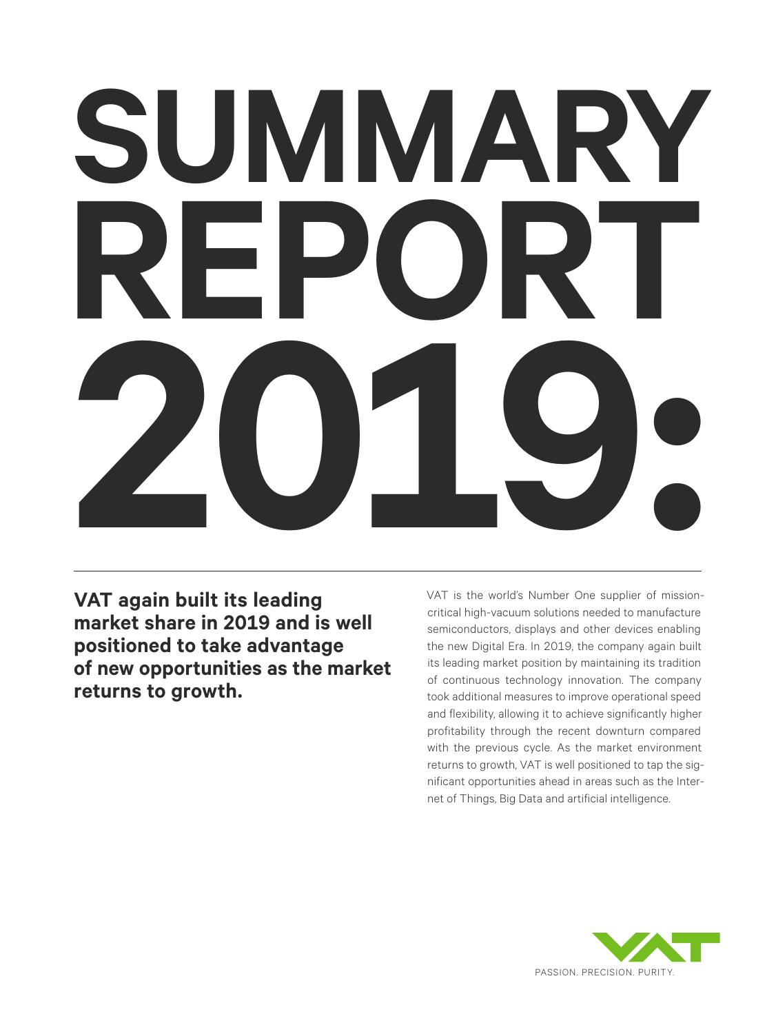# **SUMMARY REPORT 2019:**

**VAT again built its leading market share in 2019 and is well positioned to take advantage of new opportunities as the market returns to growth.**

VAT is the world's Number One supplier of missioncritical high-vacuum solutions needed to manufacture semiconductors, displays and other devices enabling the new Digital Era. In 2019, the company again built its leading market position by maintaining its tradition of continuous technology innovation. The company took additional measures to improve operational speed and flexibility, allowing it to achieve significantly higher profitability through the recent downturn compared with the previous cycle. As the market environment returns to growth, VAT is well positioned to tap the significant opportunities ahead in areas such as the Internet of Things, Big Data and artificial intelligence.

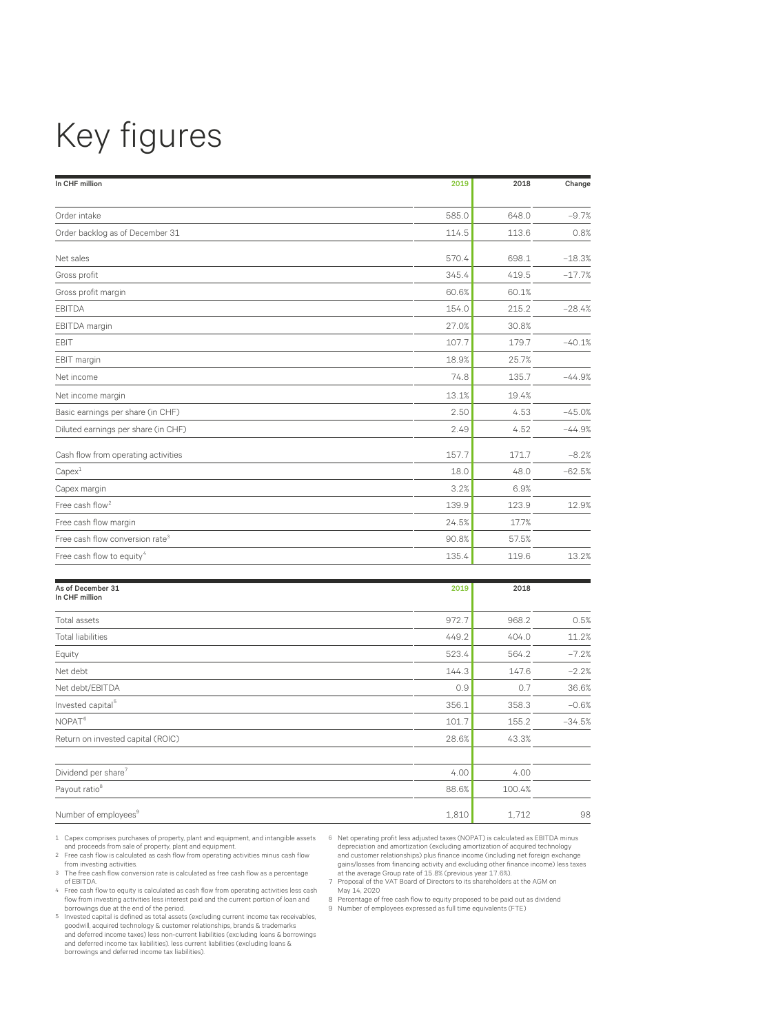# Key figures

| In CHF million                              | 2019  | 2018  | Change   |
|---------------------------------------------|-------|-------|----------|
|                                             |       |       |          |
| Order intake                                | 585.0 | 648.0 | $-9.7%$  |
| Order backlog as of December 31             | 114.5 | 113.6 | 0.8%     |
| Net sales                                   | 570.4 | 698.1 | $-18.3%$ |
| Gross profit                                | 345.4 | 419.5 | $-17.7%$ |
| Gross profit margin                         | 60.6% | 60.1% |          |
| <b>EBITDA</b>                               | 154.0 | 215.2 | $-28.4%$ |
| EBITDA margin                               | 27.0% | 30.8% |          |
| EBIT                                        | 107.7 | 179.7 | $-40.1%$ |
| EBIT margin                                 | 18.9% | 25.7% |          |
| Net income                                  | 74.8  | 135.7 | $-44.9%$ |
| Net income margin                           | 13.1% | 19.4% |          |
| Basic earnings per share (in CHF)           | 2.50  | 4.53  | $-45.0%$ |
| Diluted earnings per share (in CHF)         | 2.49  | 4.52  | $-44.9%$ |
| Cash flow from operating activities         | 157.7 | 171.7 | $-8.2%$  |
| Capex <sup>1</sup>                          | 18.0  | 48.0  | $-62.5%$ |
| Capex margin                                | 3.2%  | 6.9%  |          |
| Free cash flow <sup>2</sup>                 | 139.9 | 123.9 | 12.9%    |
| Free cash flow margin                       | 24.5% | 17.7% |          |
| Free cash flow conversion rate <sup>3</sup> | 90.8% | 57.5% |          |
| Free cash flow to equity <sup>4</sup>       | 135.4 | 119.6 | 13.2%    |

| As of December 31<br>In CHF million | 2019  | 2018   |          |
|-------------------------------------|-------|--------|----------|
|                                     |       |        |          |
| Total assets                        | 972.7 | 968.2  | 0.5%     |
| <b>Total liabilities</b>            | 449.2 | 404.0  | 11.2%    |
| Equity                              | 523.4 | 564.2  | $-7.2%$  |
| Net debt                            | 144.3 | 147.6  | $-2.2%$  |
| Net debt/EBITDA                     | 0.9   | 0.7    | 36.6%    |
| Invested capital <sup>5</sup>       | 356.1 | 358.3  | $-0.6%$  |
| NOPAT <sup>6</sup>                  | 101.7 | 155.2  | $-34.5%$ |
| Return on invested capital (ROIC)   | 28.6% | 43.3%  |          |
| Dividend per share <sup>7</sup>     | 4.00  | 4.00   |          |
| Payout ratio <sup>8</sup>           | 88.6% | 100.4% |          |
| Number of employees <sup>9</sup>    | 1,810 | 1.712  | 98       |

- 1 Capex comprises purchases of property, plant and equipment, and intangible assets and proceeds from sale of property, plant and equipment. 2 Free cash flow is calculated as cash flow from operating activities minus cash flow
- from investing activities.
- 3 The free cash flow conversion rate is calculated as free cash flow as a percentage of EBITDA.
- 4 Free cash flow to equity is calculated as cash flow from operating activities less cash flow from investing activities less interest paid and the current portion of loan and borrowings due at the end of the period. 5 Invested capital is defined as total assets (excluding current income tax receivables,
- goodwill, acquired technology & customer relationships, brands & trademarks and deferred income taxes) less non-current liabilities (excluding loans & borrowings and deferred income tax liabilities). less current liabilities (excluding loans & borrowings and deferred income tax liabilities).

6 Net operating profit less adjusted taxes (NOPAT) is calculated as EBITDA minus depreciation and amortization (excluding amortization of acquired technology and customer relationships) plus finance income (including net foreign exchange gains/losses from financing activity and excluding other finance income) less taxes<br>at the average Group rate of 15.8% (previous year 17.6%).<br>7 Proposal of the VAT Board of Directors to its shareholders at the AGM on

- May 14, 2020
- 8 Percentage of free cash flow to equity proposed to be paid out as dividend 9 Number of employees expressed as full time equivalents (FTE)
-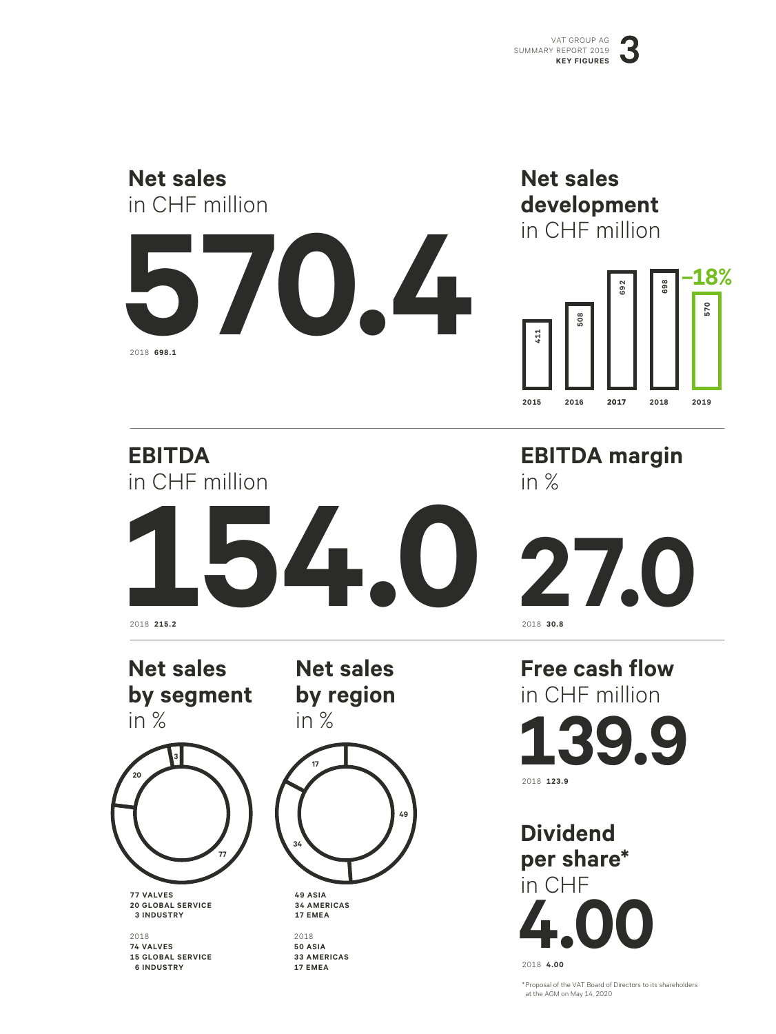

\* Proposal of the VAT Board of Directors to its shareholders at the AGM on May 14, 2020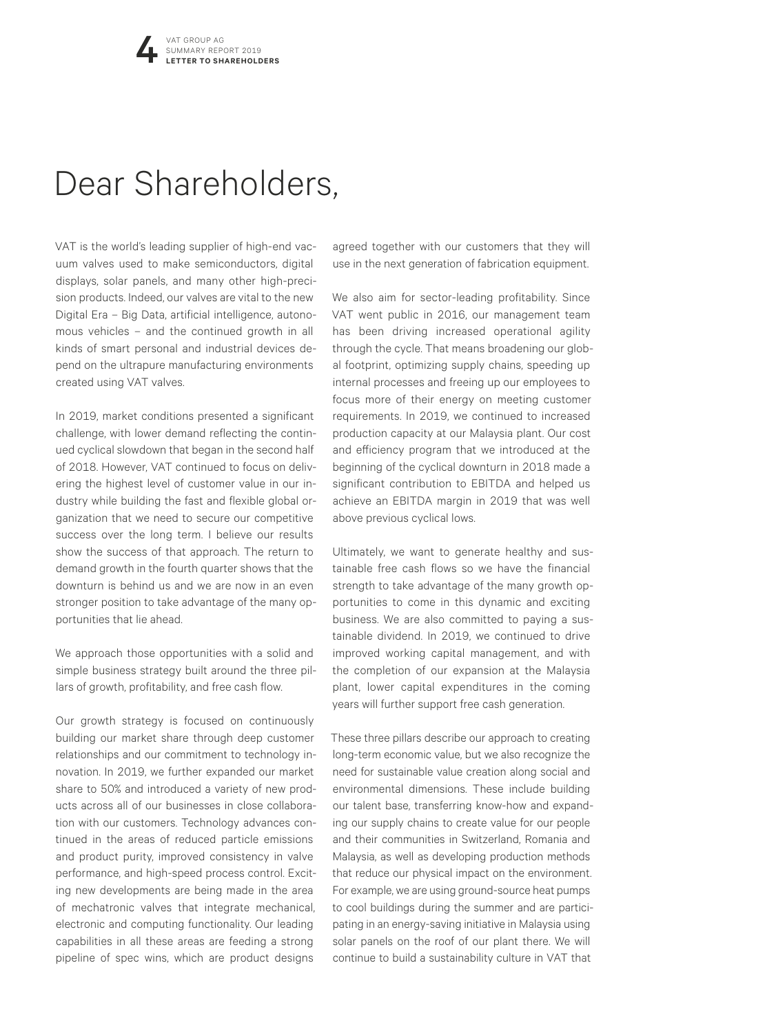## Dear Shareholders,

VAT is the world's leading supplier of high-end vacuum valves used to make semiconductors, digital displays, solar panels, and many other high-precision products. Indeed, our valves are vital to the new Digital Era – Big Data, artificial intelligence, autonomous vehicles - and the continued growth in all kinds of smart personal and industrial devices depend on the ultrapure manufacturing environments created using VAT valves.

In 2019, market conditions presented a significant challenge, with lower demand reflecting the continued cyclical slowdown that began in the second half of 2018. However, VAT continued to focus on delivering the highest level of customer value in our industry while building the fast and flexible global organization that we need to secure our competitive success over the long term. I believe our results show the success of that approach. The return to demand growth in the fourth quarter shows that the downturn is behind us and we are now in an even stronger position to take advantage of the many opportunities that lie ahead.

We approach those opportunities with a solid and simple business strategy built around the three pillars of growth, profitability, and free cash flow.

Our growth strategy is focused on continuously building our market share through deep customer relationships and our commitment to technology innovation. In 2019, we further expanded our market share to 50% and introduced a variety of new products across all of our businesses in close collaboration with our customers. Technology advances continued in the areas of reduced particle emissions and product purity, improved consistency in valve performance, and high-speed process control. Exciting new developments are being made in the area of mechatronic valves that integrate mechanical, electronic and computing functionality. Our leading capabilities in all these areas are feeding a strong pipeline of spec wins, which are product designs

agreed together with our customers that they will use in the next generation of fabrication equipment.

We also aim for sector-leading profitability. Since VAT went public in 2016, our management team has been driving increased operational agility through the cycle. That means broadening our global footprint, optimizing supply chains, speeding up internal processes and freeing up our employees to focus more of their energy on meeting customer requirements. In 2019, we continued to increased production capacity at our Malaysia plant. Our cost and efficiency program that we introduced at the beginning of the cyclical downturn in 2018 made a significant contribution to EBITDA and helped us achieve an EBITDA margin in 2019 that was well above previous cyclical lows.

Ultimately, we want to generate healthy and sustainable free cash flows so we have the financial strength to take advantage of the many growth opportunities to come in this dynamic and exciting business. We are also committed to paying a sustainable dividend. In 2019, we continued to drive improved working capital management, and with the completion of our expansion at the Malaysia plant, lower capital expenditures in the coming years will further support free cash generation.

These three pillars describe our approach to creating long-term economic value, but we also recognize the need for sustainable value creation along social and environmental dimensions. These include building our talent base, transferring know-how and expanding our supply chains to create value for our people and their communities in Switzerland, Romania and Malaysia, as well as developing production methods that reduce our physical impact on the environment. For example, we are using ground-source heat pumps to cool buildings during the summer and are participating in an energy-saving initiative in Malaysia using solar panels on the roof of our plant there. We will continue to build a sustainability culture in VAT that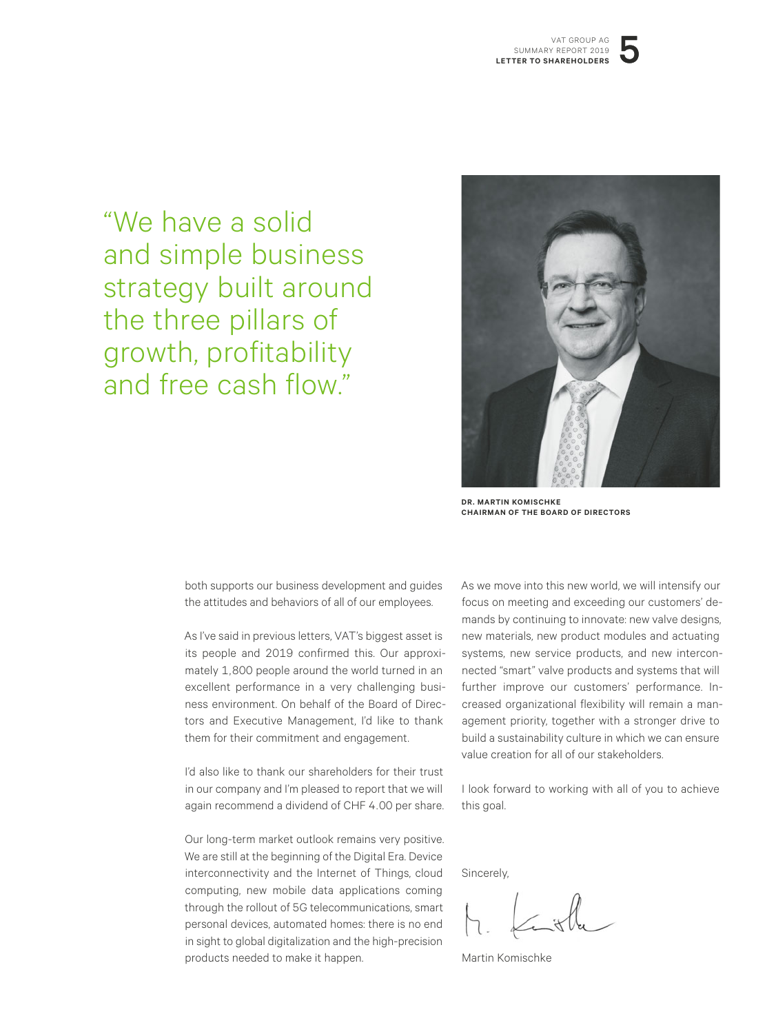"We have a solid and simple business strategy built around the three pillars of growth, profitability and free cash flow."

![](_page_4_Picture_2.jpeg)

**DR. MARTIN KOMISCHKE CHAIRMAN OF THE BOARD OF DIRECTORS**

both supports our business development and guides the attitudes and behaviors of all of our employees.

As I've said in previous letters, VAT's biggest asset is its people and 2019 confirmed this. Our approximately 1,800 people around the world turned in an excellent performance in a very challenging business environment. On behalf of the Board of Directors and Executive Management, I'd like to thank them for their commitment and engagement.

I'd also like to thank our shareholders for their trust in our company and I'm pleased to report that we will again recommend a dividend of CHF 4.00 per share.

Our long-term market outlook remains very positive. We are still at the beginning of the Digital Era. Device interconnectivity and the Internet of Things, cloud computing, new mobile data applications coming through the rollout of 5G telecommunications, smart personal devices, automated homes: there is no end in sight to global digitalization and the high-precision products needed to make it happen.

As we move into this new world, we will intensify our focus on meeting and exceeding our customers' demands by continuing to innovate: new valve designs, new materials, new product modules and actuating systems, new service products, and new interconnected "smart" valve products and systems that will further improve our customers' performance. Increased organizational flexibility will remain a management priority, together with a stronger drive to build a sustainability culture in which we can ensure value creation for all of our stakeholders.

I look forward to working with all of you to achieve this goal.

Sincerely,

Martin Komischke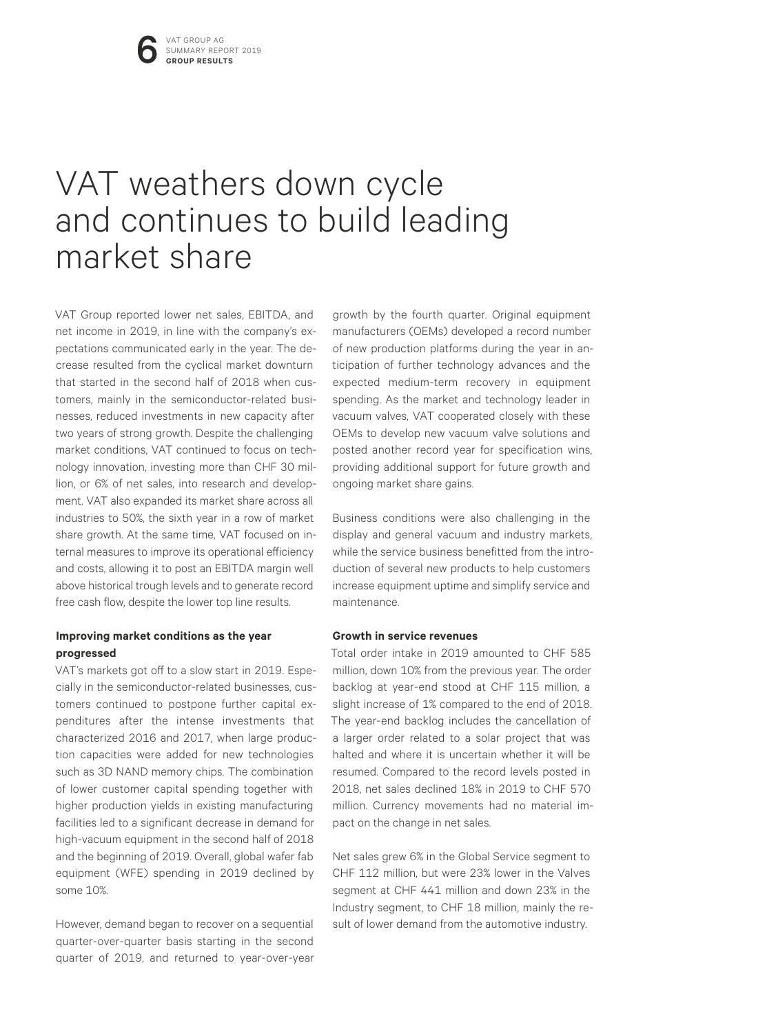## VAT weathers down cycle and continues to build leading market share

VAT Group reported lower net sales, EBITDA, and net income in 2019, in line with the company's expectations communicated early in the year. The decrease resulted from the cyclical market downturn that started in the second half of 2018 when customers, mainly in the semiconductor-related businesses, reduced investments in new capacity after two years of strong growth. Despite the challenging market conditions, VAT continued to focus on technology innovation, investing more than CHF 30 million, or 6% of net sales, into research and development. VAT also expanded its market share across all industries to 50%, the sixth year in a row of market share growth. At the same time, VAT focused on internal measures to improve its operational efficiency and costs, allowing it to post an EBITDA margin well above historical trough levels and to generate record free cash flow, despite the lower top line results.

#### **Improving market conditions as the year progressed**

VAT's markets got off to a slow start in 2019. Especially in the semiconductor-related businesses, customers continued to postpone further capital expenditures after the intense investments that characterized 2016 and 2017, when large production capacities were added for new technologies such as 3D NAND memory chips. The combination of lower customer capital spending together with higher production yields in existing manufacturing facilities led to a significant decrease in demand for high-vacuum equipment in the second half of 2018 and the beginning of 2019. Overall, global wafer fab equipment (WFE) spending in 2019 declined by some 10%.

However, demand began to recover on a sequential quarter-over-quarter basis starting in the second quarter of 2019, and returned to year-over-year

growth by the fourth quarter. Original equipment manufacturers (OEMs) developed a record number of new production platforms during the year in anticipation of further technology advances and the expected medium-term recovery in equipment spending. As the market and technology leader in vacuum valves, VAT cooperated closely with these OEMs to develop new vacuum valve solutions and posted another record year for specification wins, providing additional support for future growth and ongoing market share gains.

Business conditions were also challenging in the display and general vacuum and industry markets, while the service business benefitted from the introduction of several new products to help customers increase equipment uptime and simplify service and maintenance.

#### **Growth in service revenues**

Total order intake in 2019 amounted to CHF 585 million, down 10% from the previous year. The order backlog at year-end stood at CHF 115 million, a slight increase of 1% compared to the end of 2018. The year-end backlog includes the cancellation of a larger order related to a solar project that was halted and where it is uncertain whether it will be resumed. Compared to the record levels posted in 2018, net sales declined 18% in 2019 to CHF 570 million. Currency movements had no material impact on the change in net sales.

Net sales grew 6% in the Global Service segment to CHF 112 million, but were 23% lower in the Valves segment at CHF 441 million and down 23% in the Industry segment, to CHF 18 million, mainly the result of lower demand from the automotive industry.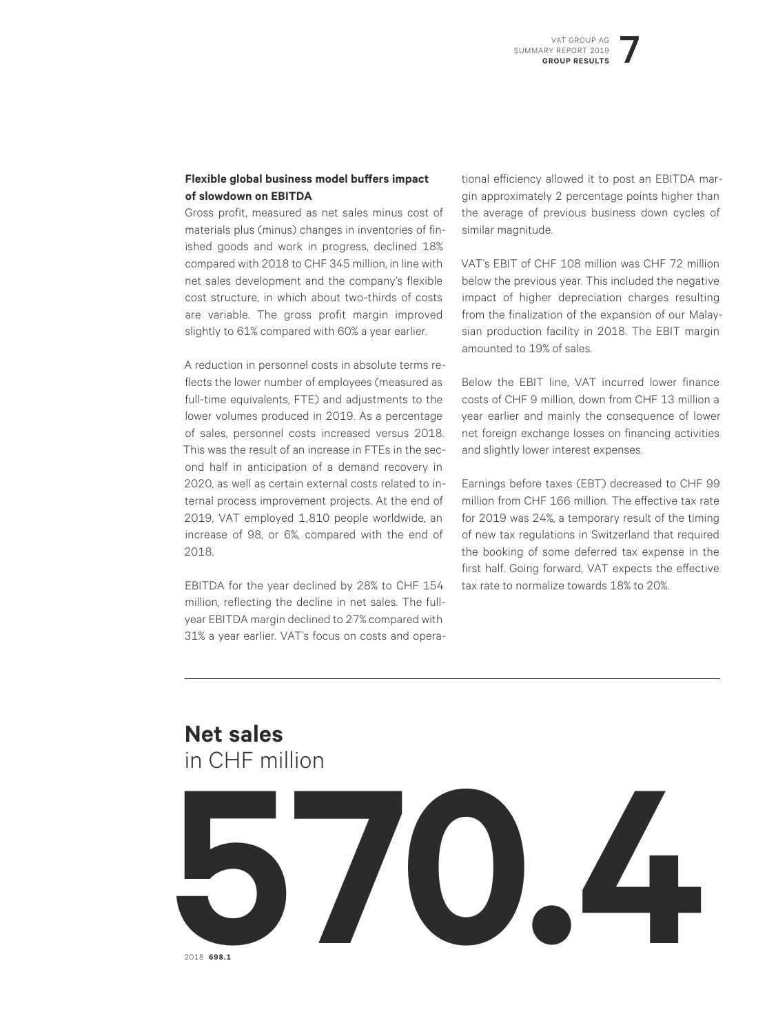#### **Flexible global business model buffers impact of slowdown on EBITDA**

Gross profit, measured as net sales minus cost of materials plus (minus) changes in inventories of finished goods and work in progress, declined 18% compared with 2018 to CHF 345 million, in line with net sales development and the company's flexible cost structure, in which about two-thirds of costs are variable. The gross profit margin improved slightly to 61% compared with 60% a year earlier.

A reduction in personnel costs in absolute terms reflects the lower number of employees (measured as full-time equivalents, FTE) and adjustments to the lower volumes produced in 2019. As a percentage of sales, personnel costs increased versus 2018. This was the result of an increase in FTEs in the second half in anticipation of a demand recovery in 2020, as well as certain external costs related to internal process improvement projects. At the end of 2019, VAT employed 1,810 people worldwide, an increase of 98, or 6%, compared with the end of 2018.

EBITDA for the year declined by 28% to CHF 154 million, reflecting the decline in net sales. The fullyear EBITDA margin declined to 27% compared with 31% a year earlier. VAT's focus on costs and operational efficiency allowed it to post an EBITDA margin approximately 2 percentage points higher than the average of previous business down cycles of similar magnitude.

VAT's EBIT of CHF 108 million was CHF 72 million below the previous year. This included the negative impact of higher depreciation charges resulting from the finalization of the expansion of our Malaysian production facility in 2018. The EBIT margin amounted to 19% of sales.

Below the EBIT line, VAT incurred lower finance costs of CHF 9 million, down from CHF 13 million a year earlier and mainly the consequence of lower net foreign exchange losses on financing activities and slightly lower interest expenses.

Earnings before taxes (EBT) decreased to CHF 99 million from CHF 166 million. The effective tax rate for 2019 was 24%, a temporary result of the timing of new tax regulations in Switzerland that required the booking of some deferred tax expense in the first half. Going forward, VAT expects the effective tax rate to normalize towards 18% to 20%.

#### **Net sales** in CHF million

![](_page_6_Picture_10.jpeg)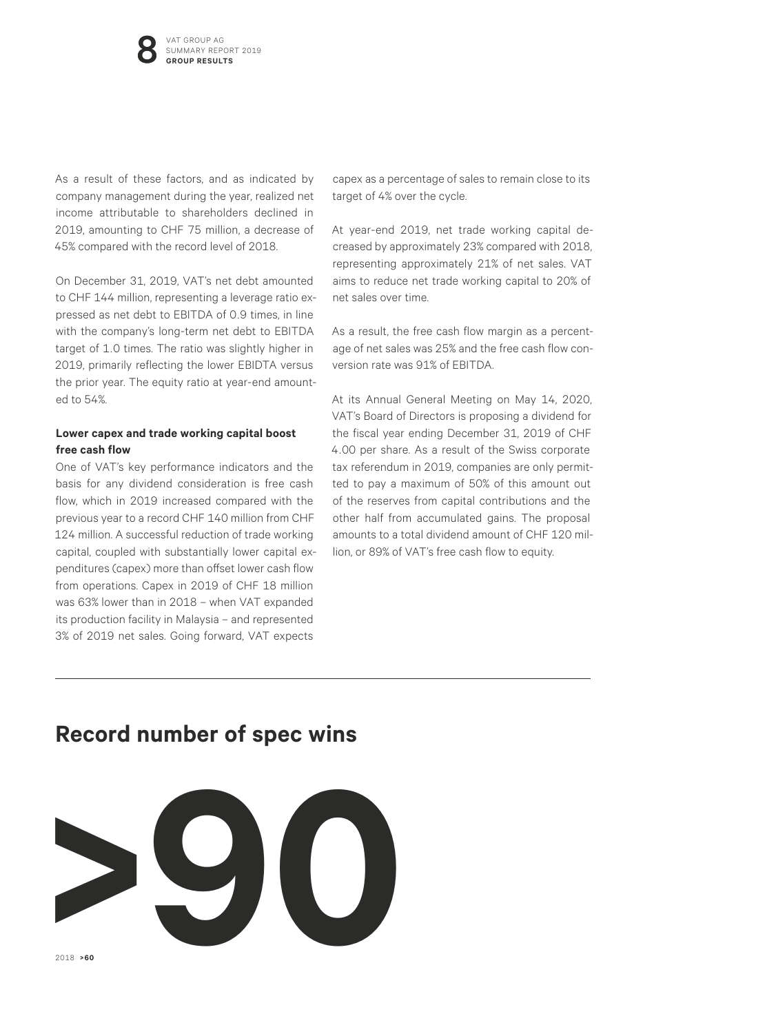As a result of these factors, and as indicated by company management during the year, realized net income attributable to shareholders declined in 2019, amounting to CHF 75 million, a decrease of 45% compared with the record level of 2018.

On December 31, 2019, VAT's net debt amounted to CHF 144 million, representing a leverage ratio expressed as net debt to EBITDA of 0.9 times, in line with the company's long-term net debt to EBITDA target of 1.0 times. The ratio was slightly higher in 2019, primarily reflecting the lower EBIDTA versus the prior year. The equity ratio at year-end amounted to 54%.

#### **Lower capex and trade working capital boost free cash flow**

One of VAT's key performance indicators and the basis for any dividend consideration is free cash flow, which in 2019 increased compared with the previous year to a record CHF 140 million from CHF 124 million. A successful reduction of trade working capital, coupled with substantially lower capital expenditures (capex) more than offset lower cash flow from operations. Capex in 2019 of CHF 18 million was 63% lower than in 2018 – when VAT expanded its production facility in Malaysia – and represented 3% of 2019 net sales. Going forward, VAT expects

capex as a percentage of sales to remain close to its target of 4% over the cycle.

At year-end 2019, net trade working capital decreased by approximately 23% compared with 2018, representing approximately 21% of net sales. VAT aims to reduce net trade working capital to 20% of net sales over time.

As a result, the free cash flow margin as a percentage of net sales was 25% and the free cash flow conversion rate was 91% of EBITDA.

At its Annual General Meeting on May 14, 2020, VAT's Board of Directors is proposing a dividend for the fiscal year ending December 31, 2019 of CHF 4.00 per share. As a result of the Swiss corporate tax referendum in 2019, companies are only permitted to pay a maximum of 50% of this amount out of the reserves from capital contributions and the other half from accumulated gains. The proposal amounts to a total dividend amount of CHF 120 million, or 89% of VAT's free cash flow to equity.

#### **Record number of spec wins**

![](_page_7_Picture_10.jpeg)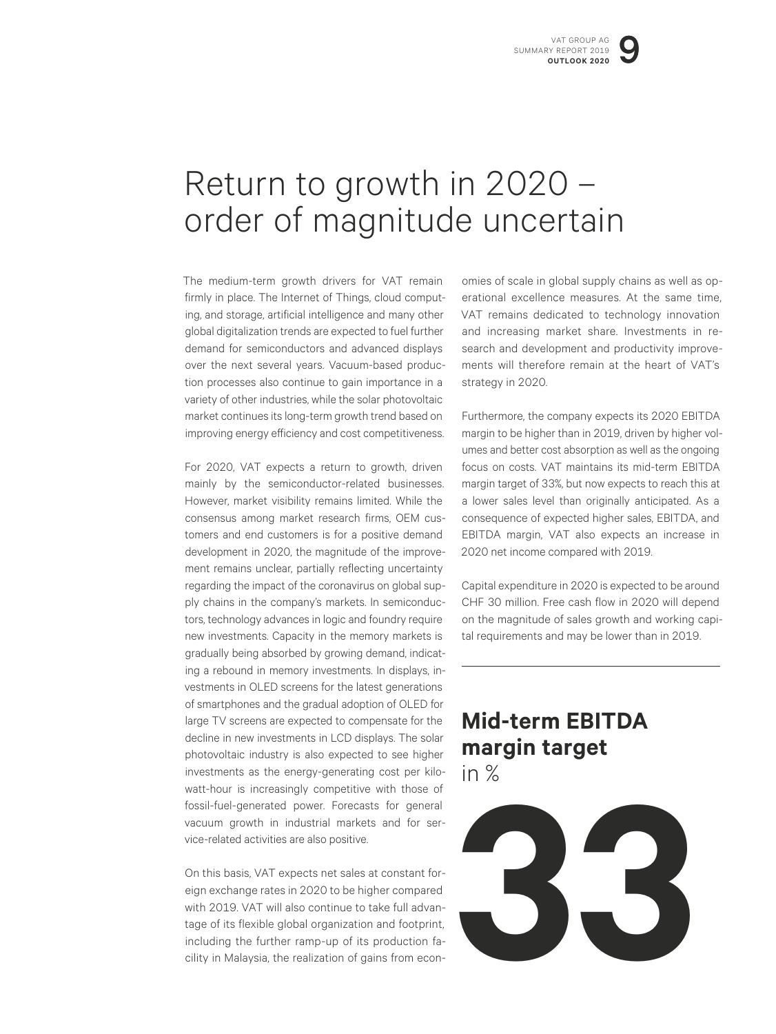## Return to growth in 2020 – order of magnitude uncertain

The medium-term growth drivers for VAT remain firmly in place. The Internet of Things, cloud computing, and storage, artificial intelligence and many other global digitalization trends are expected to fuel further demand for semiconductors and advanced displays over the next several years. Vacuum-based production processes also continue to gain importance in a variety of other industries, while the solar photovoltaic market continues its long-term growth trend based on improving energy efficiency and cost competitiveness.

For 2020, VAT expects a return to growth, driven mainly by the semiconductor-related businesses. However, market visibility remains limited. While the consensus among market research firms, OEM customers and end customers is for a positive demand development in 2020, the magnitude of the improvement remains unclear, partially reflecting uncertainty regarding the impact of the coronavirus on global supply chains in the company's markets. In semiconductors, technology advances in logic and foundry require new investments. Capacity in the memory markets is gradually being absorbed by growing demand, indicating a rebound in memory investments. In displays, investments in OLED screens for the latest generations of smartphones and the gradual adoption of OLED for large TV screens are expected to compensate for the decline in new investments in LCD displays. The solar photovoltaic industry is also expected to see higher investments as the energy-generating cost per kilowatt-hour is increasingly competitive with those of fossil-fuel-generated power. Forecasts for general vacuum growth in industrial markets and for service-related activities are also positive.

On this basis, VAT expects net sales at constant foreign exchange rates in 2020 to be higher compared with 2019. VAT will also continue to take full advantage of its flexible global organization and footprint, including the further ramp-up of its production facility in Malaysia, the realization of gains from economies of scale in global supply chains as well as operational excellence measures. At the same time, VAT remains dedicated to technology innovation and increasing market share. Investments in research and development and productivity improvements will therefore remain at the heart of VAT's strategy in 2020.

Furthermore, the company expects its 2020 EBITDA margin to be higher than in 2019, driven by higher volumes and better cost absorption as well as the ongoing focus on costs. VAT maintains its mid-term EBITDA margin target of 33%, but now expects to reach this at a lower sales level than originally anticipated. As a consequence of expected higher sales, EBITDA, and EBITDA margin, VAT also expects an increase in 2020 net income compared with 2019.

Capital expenditure in 2020 is expected to be around CHF 30 million. Free cash flow in 2020 will depend on the magnitude of sales growth and working capital requirements and may be lower than in 2019.

#### **Mid-term EBITDA margin target** in %

**33**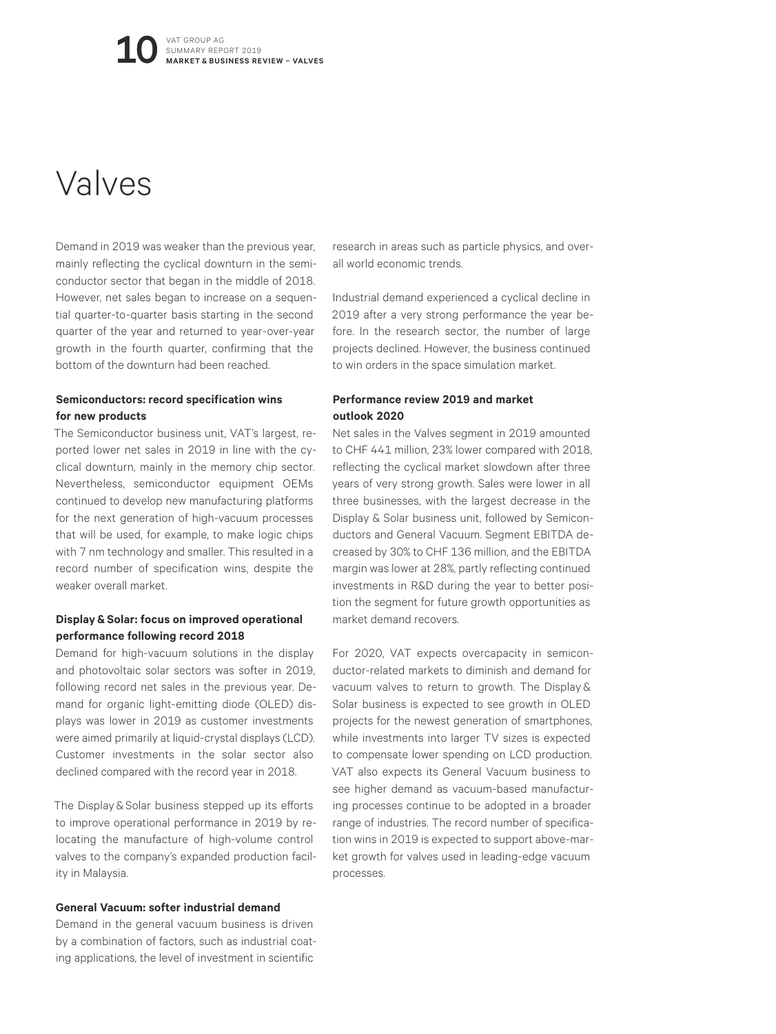## Valves

Demand in 2019 was weaker than the previous year, mainly reflecting the cyclical downturn in the semiconductor sector that began in the middle of 2018. However, net sales began to increase on a sequential quarter-to-quarter basis starting in the second quarter of the year and returned to year-over-year growth in the fourth quarter, confirming that the bottom of the downturn had been reached.

#### **Semiconductors: record specification wins for new products**

The Semiconductor business unit, VAT's largest, reported lower net sales in 2019 in line with the cyclical downturn, mainly in the memory chip sector. Nevertheless, semiconductor equipment OEMs continued to develop new manufacturing platforms for the next generation of high-vacuum processes that will be used, for example, to make logic chips with 7 nm technology and smaller. This resulted in a record number of specification wins, despite the weaker overall market.

#### **Display&Solar: focus on improved operational performance following record 2018**

Demand for high-vacuum solutions in the display and photovoltaic solar sectors was softer in 2019, following record net sales in the previous year. Demand for organic light-emitting diode (OLED) displays was lower in 2019 as customer investments were aimed primarily at liquid-crystal displays (LCD). Customer investments in the solar sector also declined compared with the record year in 2018.

The Display & Solar business stepped up its efforts to improve operational performance in 2019 by relocating the manufacture of high-volume control valves to the company's expanded production facility in Malaysia.

#### **General Vacuum: softer industrial demand**

Demand in the general vacuum business is driven by a combination of factors, such as industrial coating applications, the level of investment in scientific

research in areas such as particle physics, and overall world economic trends.

Industrial demand experienced a cyclical decline in 2019 after a very strong performance the year before. In the research sector, the number of large projects declined. However, the business continued to win orders in the space simulation market.

#### **Performance review 2019 and market outlook 2020**

Net sales in the Valves segment in 2019 amounted to CHF 441 million, 23% lower compared with 2018, reflecting the cyclical market slowdown after three years of very strong growth. Sales were lower in all three businesses, with the largest decrease in the Display & Solar business unit, followed by Semiconductors and General Vacuum. Segment EBITDA decreased by 30% to CHF 136 million, and the EBITDA margin was lower at 28%, partly reflecting continued investments in R&D during the year to better position the segment for future growth opportunities as market demand recovers.

For 2020, VAT expects overcapacity in semiconductor-related markets to diminish and demand for vacuum valves to return to growth. The Display & Solar business is expected to see growth in OLED projects for the newest generation of smartphones, while investments into larger TV sizes is expected to compensate lower spending on LCD production. VAT also expects its General Vacuum business to see higher demand as vacuum-based manufacturing processes continue to be adopted in a broader range of industries. The record number of specification wins in 2019 is expected to support above-market growth for valves used in leading-edge vacuum processes.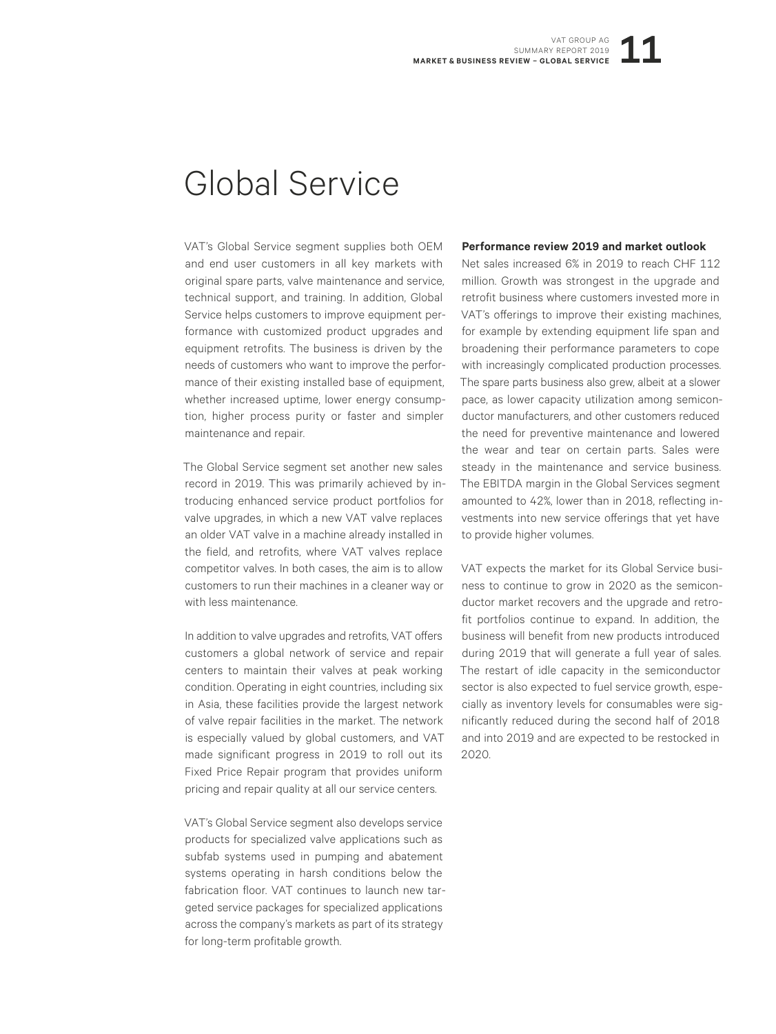## Global Service

VAT's Global Service segment supplies both OEM and end user customers in all key markets with original spare parts, valve maintenance and service, technical support, and training. In addition, Global Service helps customers to improve equipment performance with customized product upgrades and equipment retrofits. The business is driven by the needs of customers who want to improve the performance of their existing installed base of equipment, whether increased uptime, lower energy consumption, higher process purity or faster and simpler maintenance and repair.

The Global Service segment set another new sales record in 2019. This was primarily achieved by introducing enhanced service product portfolios for valve upgrades, in which a new VAT valve replaces an older VAT valve in a machine already installed in the field, and retrofits, where VAT valves replace competitor valves. In both cases, the aim is to allow customers to run their machines in a cleaner way or with less maintenance.

In addition to valve upgrades and retrofits, VAT offers customers a global network of service and repair centers to maintain their valves at peak working condition. Operating in eight countries, including six in Asia, these facilities provide the largest network of valve repair facilities in the market. The network is especially valued by global customers, and VAT made significant progress in 2019 to roll out its Fixed Price Repair program that provides uniform pricing and repair quality at all our service centers.

VAT's Global Service segment also develops service products for specialized valve applications such as subfab systems used in pumping and abatement systems operating in harsh conditions below the fabrication floor. VAT continues to launch new targeted service packages for specialized applications across the company's markets as part of its strategy for long-term profitable growth.

#### **Performance review 2019 and market outlook**

Net sales increased 6% in 2019 to reach CHF 112 million. Growth was strongest in the upgrade and retrofit business where customers invested more in VAT's offerings to improve their existing machines, for example by extending equipment life span and broadening their performance parameters to cope with increasingly complicated production processes. The spare parts business also grew, albeit at a slower pace, as lower capacity utilization among semiconductor manufacturers, and other customers reduced the need for preventive maintenance and lowered the wear and tear on certain parts. Sales were steady in the maintenance and service business. The EBITDA margin in the Global Services segment amounted to 42%, lower than in 2018, reflecting investments into new service offerings that yet have to provide higher volumes.

VAT expects the market for its Global Service business to continue to grow in 2020 as the semiconductor market recovers and the upgrade and retrofit portfolios continue to expand. In addition, the business will benefit from new products introduced during 2019 that will generate a full year of sales. The restart of idle capacity in the semiconductor sector is also expected to fuel service growth, especially as inventory levels for consumables were significantly reduced during the second half of 2018 and into 2019 and are expected to be restocked in 2020.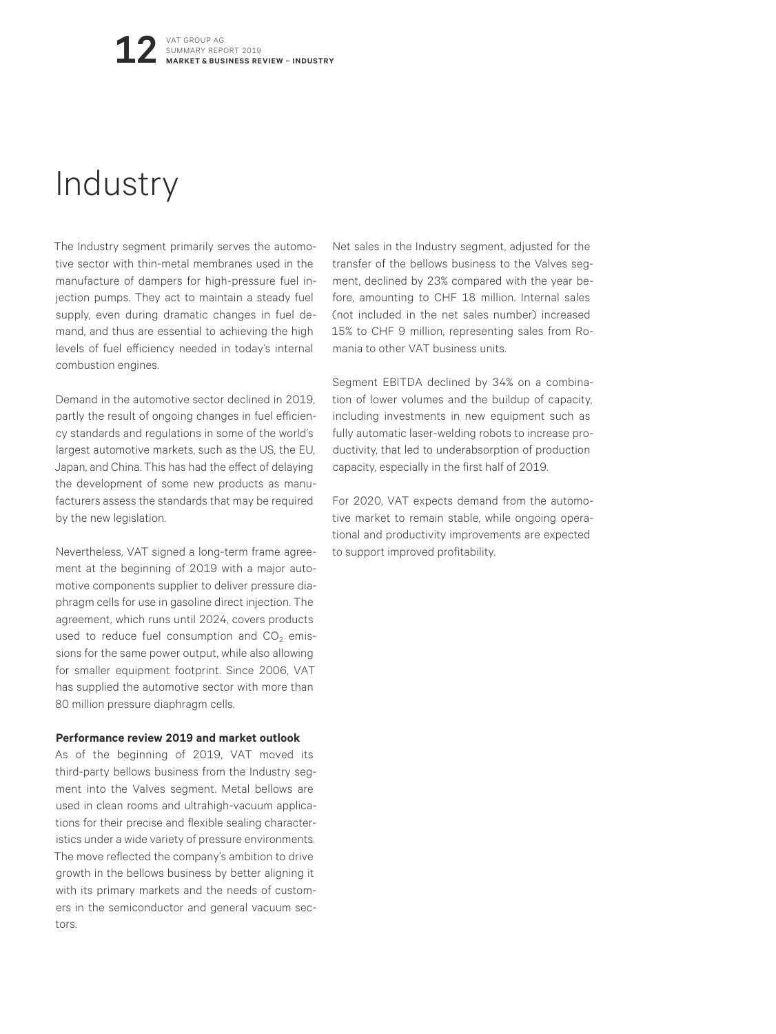## Industry

The Industry segment primarily serves the automotive sector with thin-metal membranes used in the manufacture of dampers for high-pressure fuel injection pumps. They act to maintain a steady fuel supply, even during dramatic changes in fuel demand, and thus are essential to achieving the high levels of fuel efficiency needed in today's internal combustion engines.

Demand in the automotive sector declined in 2019, partly the result of ongoing changes in fuel efficiency standards and regulations in some of the world's largest automotive markets, such as the US, the EU, Japan, and China. This has had the effect of delaying the development of some new products as manufacturers assess the standards that may be required by the new legislation.

Nevertheless, VAT signed a long-term frame agreement at the beginning of 2019 with a major automotive components supplier to deliver pressure diaphragm cells for use in gasoline direct injection. The agreement, which runs until 2024, covers products used to reduce fuel consumption and  $CO<sub>2</sub>$  emissions for the same power output, while also allowing for smaller equipment footprint. Since 2006, VAT has supplied the automotive sector with more than 80 million pressure diaphragm cells.

#### **Performance review 2019 and market outlook**

As of the beginning of 2019, VAT moved its third-party bellows business from the Industry segment into the Valves segment. Metal bellows are used in clean rooms and ultrahigh-vacuum applications for their precise and flexible sealing characteristics under a wide variety of pressure environments. The move reflected the company's ambition to drive growth in the bellows business by better aligning it with its primary markets and the needs of customers in the semiconductor and general vacuum sectors.

Net sales in the Industry segment, adjusted for the transfer of the bellows business to the Valves segment, declined by 23% compared with the year before, amounting to CHF 18 million. Internal sales (not included in the net sales number) increased 15% to CHF 9 million, representing sales from Romania to other VAT business units.

Segment EBITDA declined by 34% on a combination of lower volumes and the buildup of capacity, including investments in new equipment such as fully automatic laser-welding robots to increase productivity, that led to underabsorption of production capacity, especially in the first half of 2019.

For 2020, VAT expects demand from the automotive market to remain stable, while ongoing operational and productivity improvements are expected to support improved profitability.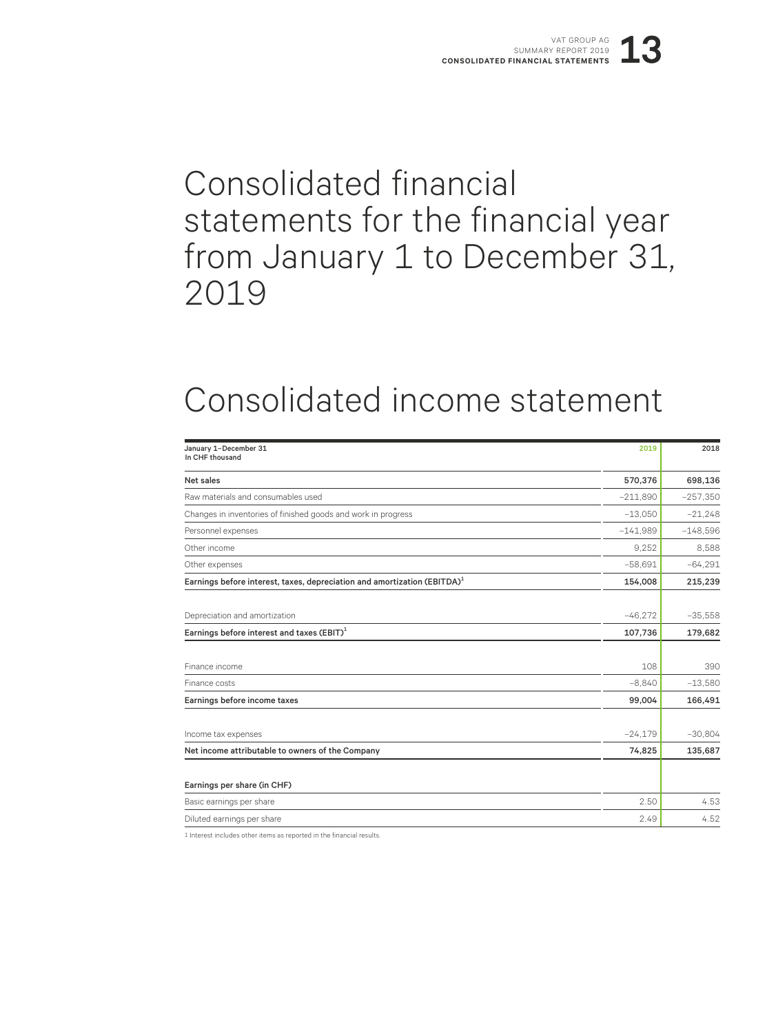## Consolidated financial statements for the financial year from January 1 to December 31, 2019

## Consolidated income statement

| January 1-December 31<br>In CHF thousand                                             | 2019       | 2018       |
|--------------------------------------------------------------------------------------|------------|------------|
| Net sales                                                                            | 570,376    | 698,136    |
| Raw materials and consumables used                                                   | $-211,890$ | $-257,350$ |
| Changes in inventories of finished goods and work in progress                        | $-13,050$  | $-21,248$  |
| Personnel expenses                                                                   | $-141.989$ | $-148,596$ |
| Other income                                                                         | 9.252      | 8,588      |
| Other expenses                                                                       | $-58,691$  | $-64.291$  |
| Earnings before interest, taxes, depreciation and amortization (EBITDA) <sup>1</sup> | 154,008    | 215,239    |
|                                                                                      |            |            |
| Depreciation and amortization                                                        | $-46.272$  | $-35,558$  |
| Earnings before interest and taxes $(EBIT)^1$                                        | 107,736    | 179,682    |
|                                                                                      |            |            |
| Finance income                                                                       | 108        | 390        |
| Finance costs                                                                        | $-8,840$   | $-13,580$  |
| Earnings before income taxes                                                         | 99,004     | 166,491    |
|                                                                                      |            |            |
| Income tax expenses                                                                  | $-24,179$  | $-30,804$  |
| Net income attributable to owners of the Company                                     | 74,825     | 135,687    |
| Earnings per share (in CHF)                                                          |            |            |
| Basic earnings per share                                                             | 2.50       | 4.53       |
| Diluted earnings per share                                                           | 2.49       | 4.52       |

1 Interest includes other items as reported in the financial results.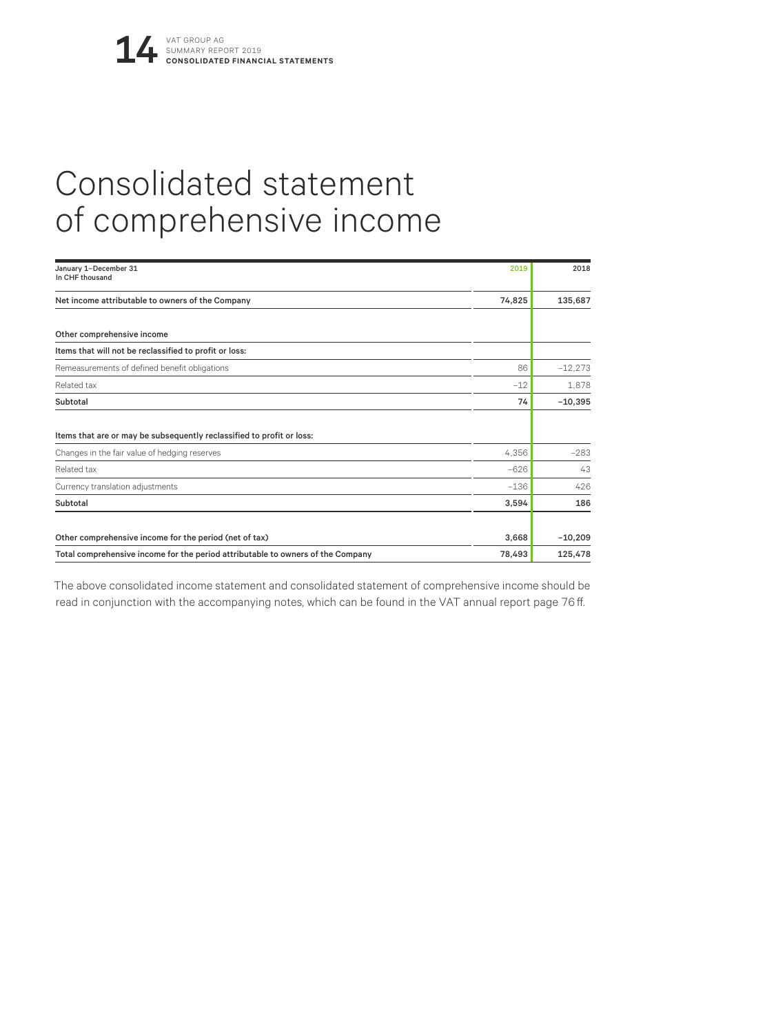# Consolidated statement of comprehensive income

| January 1-December 31<br>In CHF thousand                                        | 2019   | 2018      |
|---------------------------------------------------------------------------------|--------|-----------|
| Net income attributable to owners of the Company                                | 74,825 | 135,687   |
| Other comprehensive income                                                      |        |           |
| Items that will not be reclassified to profit or loss:                          |        |           |
| Remeasurements of defined benefit obligations                                   | 86     | $-12,273$ |
| Related tax                                                                     | $-12$  | 1,878     |
| Subtotal                                                                        | 74     | $-10,395$ |
| Items that are or may be subsequently reclassified to profit or loss:           |        |           |
| Changes in the fair value of hedging reserves                                   | 4,356  | $-283$    |
| Related tax                                                                     | $-626$ | 43        |
| Currency translation adjustments                                                | $-136$ | 426       |
| Subtotal                                                                        | 3,594  | 186       |
| Other comprehensive income for the period (net of tax)                          | 3,668  | $-10,209$ |
| Total comprehensive income for the period attributable to owners of the Company | 78,493 | 125,478   |

The above consolidated income statement and consolidated statement of comprehensive income should be read in conjunction with the accompanying notes, which can be found in the VAT annual report page 76 ff.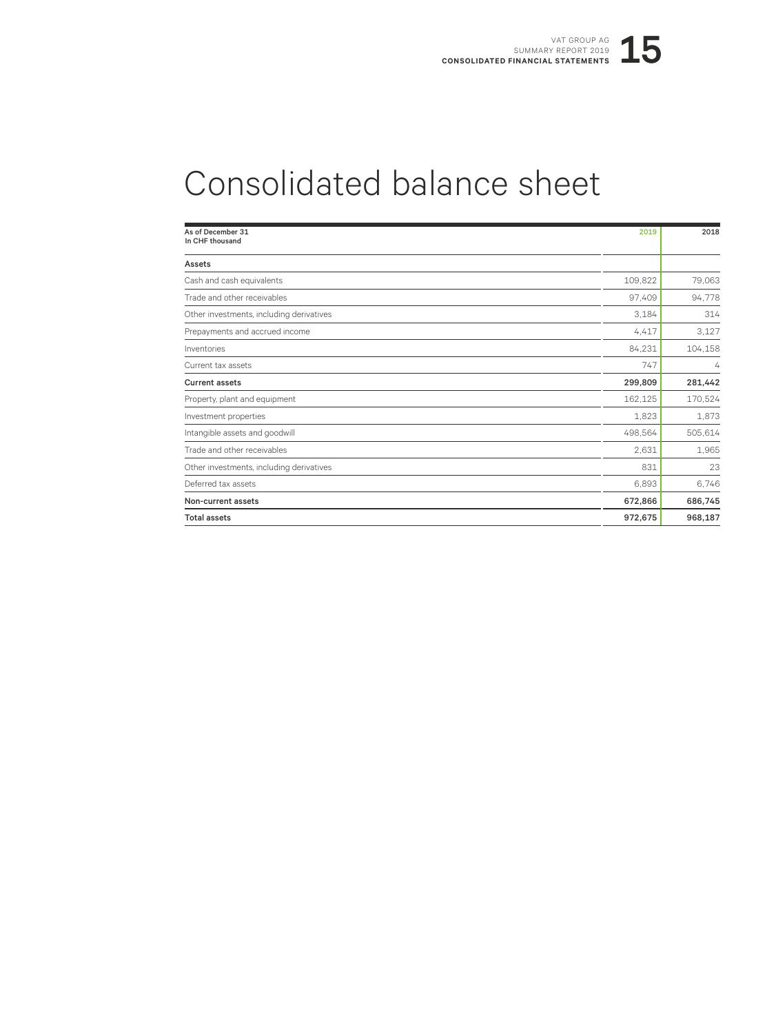# Consolidated balance sheet

| As of December 31<br>In CHF thousand     | 2019    | 2018    |
|------------------------------------------|---------|---------|
|                                          |         |         |
| Assets                                   |         |         |
| Cash and cash equivalents                | 109,822 | 79,063  |
| Trade and other receivables              | 97,409  | 94,778  |
| Other investments, including derivatives | 3.184   | 314     |
| Prepayments and accrued income           | 4,417   | 3,127   |
| Inventories                              | 84,231  | 104,158 |
| Current tax assets                       | 747     | 4       |
| <b>Current assets</b>                    | 299,809 | 281,442 |
| Property, plant and equipment            | 162,125 | 170,524 |
| Investment properties                    | 1,823   | 1,873   |
| Intangible assets and goodwill           | 498,564 | 505,614 |
| Trade and other receivables              | 2.631   | 1,965   |
| Other investments, including derivatives | 831     | 23      |
| Deferred tax assets                      | 6,893   | 6,746   |
| Non-current assets                       | 672,866 | 686,745 |
| <b>Total assets</b>                      | 972,675 | 968,187 |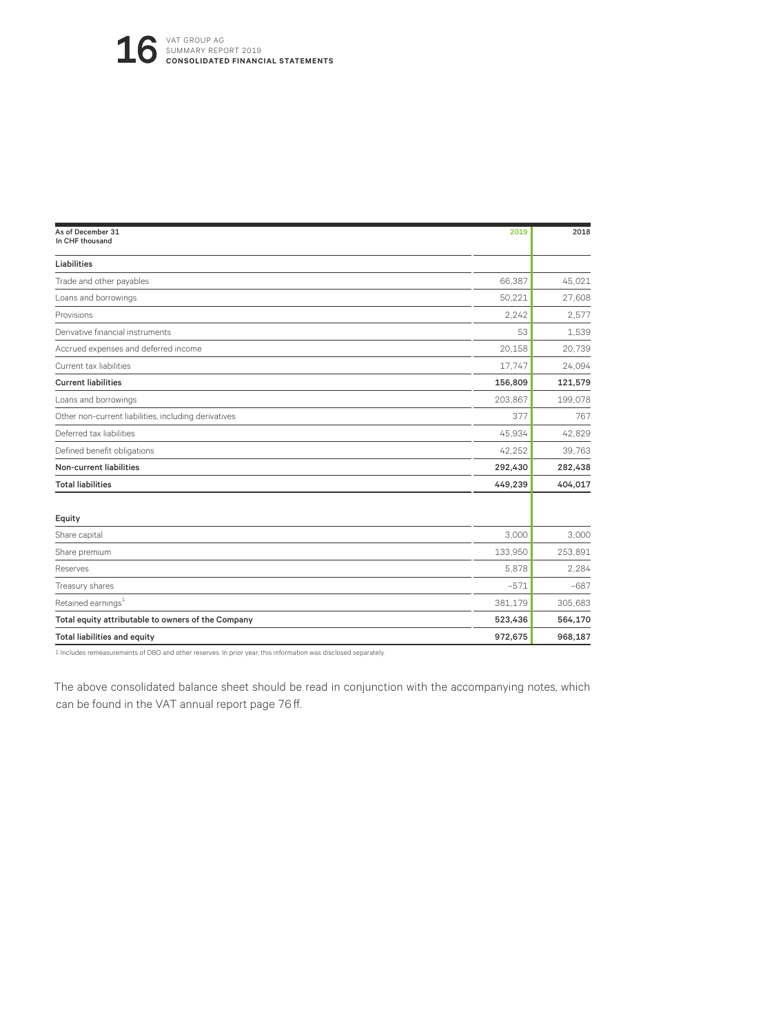| As of December 31<br>In CHF thousand                 | 2019    | 2018    |
|------------------------------------------------------|---------|---------|
| Liabilities                                          |         |         |
| Trade and other payables                             | 66,387  | 45,021  |
| Loans and borrowings                                 | 50,221  | 27,608  |
| Provisions                                           | 2.242   | 2.577   |
| Derivative financial instruments                     | 53      | 1,539   |
| Accrued expenses and deferred income                 | 20,158  | 20,739  |
| Current tax liabilities                              | 17,747  | 24,094  |
| <b>Current liabilities</b>                           | 156,809 | 121,579 |
| Loans and borrowings                                 | 203,867 | 199,078 |
| Other non-current liabilities, including derivatives | 377     | 767     |
| Deferred tax liabilities                             | 45,934  | 42,829  |
| Defined benefit obligations                          | 42,252  | 39,763  |
| <b>Non-current liabilities</b>                       | 292,430 | 282,438 |
| <b>Total liabilities</b>                             | 449,239 | 404,017 |
| Equity                                               |         |         |
| Share capital                                        | 3,000   | 3,000   |
| Share premium                                        | 133,950 | 253,891 |
| Reserves                                             | 5,878   | 2.284   |
| Treasury shares                                      | $-571$  | $-687$  |
| Retained earnings <sup>1</sup>                       | 381,179 | 305,683 |
| Total equity attributable to owners of the Company   | 523,436 | 564,170 |
| <b>Total liabilities and equity</b>                  | 972,675 | 968,187 |

1 Includes remeasurements of DBO and other reserves. In prior year, this information was disclosed separately.

The above consolidated balance sheet should be read in conjunction with the accompanying notes, which can be found in the VAT annual report page 76 ff.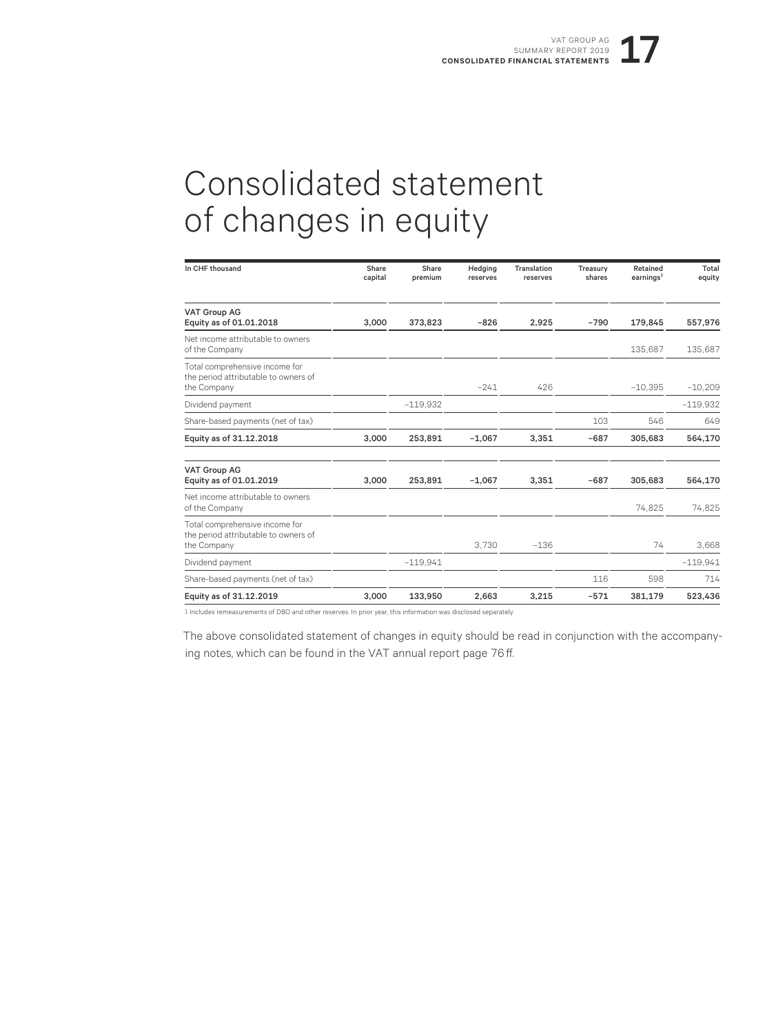## Consolidated statement of changes in equity

| In CHF thousand                                                                       | Share<br>capital | Share<br>premium | Hedging<br>reserves | Translation<br>reserves | Treasury<br>shares | Retained<br>earnings <sup>1</sup> | Total<br>equity |
|---------------------------------------------------------------------------------------|------------------|------------------|---------------------|-------------------------|--------------------|-----------------------------------|-----------------|
| <b>VAT Group AG</b><br>Equity as of 01.01.2018                                        | 3.000            | 373.823          | $-826$              | 2.925                   | $-790$             | 179.845                           | 557,976         |
| Net income attributable to owners<br>of the Company                                   |                  |                  |                     |                         |                    | 135,687                           | 135,687         |
| Total comprehensive income for<br>the period attributable to owners of<br>the Company |                  |                  | $-241$              | 426                     |                    | $-10,395$                         | $-10,209$       |
| Dividend payment                                                                      |                  | $-119.932$       |                     |                         |                    |                                   | $-119.932$      |
| Share-based payments (net of tax)                                                     |                  |                  |                     |                         | 103                | 546                               | 649             |
| Equity as of 31.12.2018                                                               | 3,000            | 253,891          | $-1,067$            | 3,351                   | $-687$             | 305,683                           | 564,170         |
| <b>VAT Group AG</b><br>Equity as of 01.01.2019                                        | 3.000            | 253,891          | $-1,067$            | 3,351                   | $-687$             | 305,683                           | 564,170         |
| Net income attributable to owners<br>of the Company                                   |                  |                  |                     |                         |                    | 74,825                            | 74,825          |
| Total comprehensive income for<br>the period attributable to owners of<br>the Company |                  |                  | 3.730               | $-136$                  |                    | 74                                | 3.668           |
| Dividend payment                                                                      |                  | $-119.941$       |                     |                         |                    |                                   | $-119.941$      |
| Share-based payments (net of tax)                                                     |                  |                  |                     |                         | 116                | 598                               | 714             |
| Equity as of 31.12.2019                                                               | 3.000            | 133,950          | 2.663               | 3.215                   | $-571$             | 381,179                           | 523,436         |

1 Includes remeasurements of DBO and other reserves. In prior year, this information was disclosed separately.

The above consolidated statement of changes in equity should be read in conjunction with the accompanying notes, which can be found in the VAT annual report page 76 ff.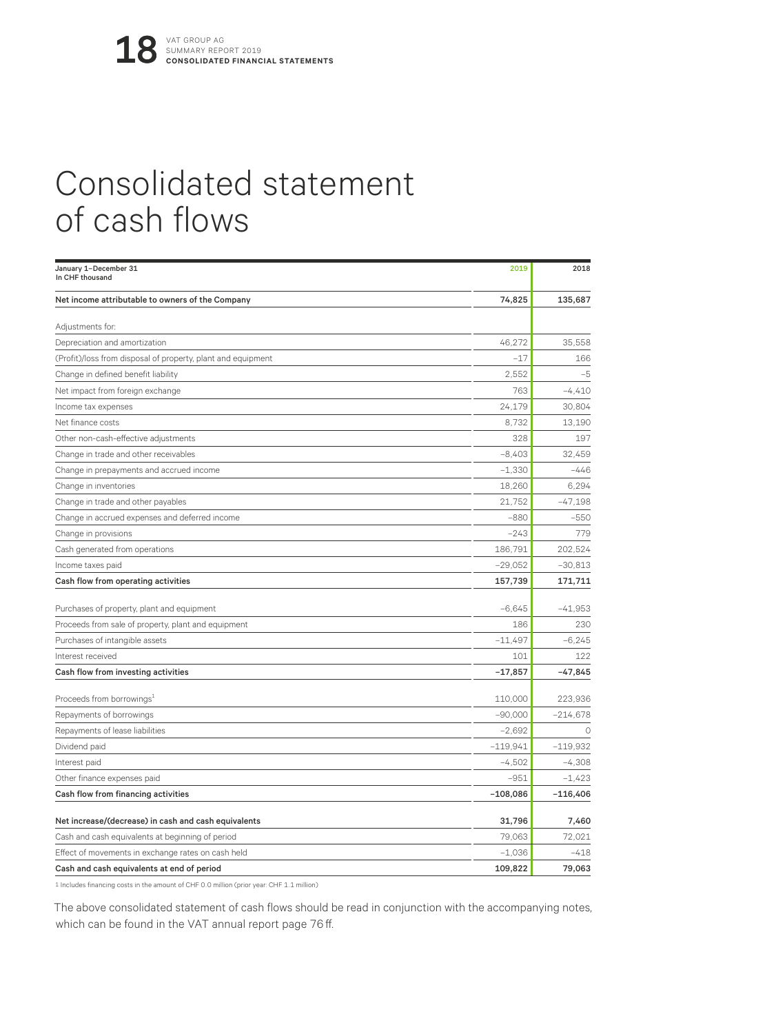## Consolidated statement of cash flows

| January 1-December 31<br>In CHF thousand                     | 2019       | 2018       |
|--------------------------------------------------------------|------------|------------|
| Net income attributable to owners of the Company             | 74,825     | 135,687    |
| Adjustments for:                                             |            |            |
| Depreciation and amortization                                | 46,272     | 35,558     |
| (Profit)/loss from disposal of property, plant and equipment | $-17$      | 166        |
| Change in defined benefit liability                          | 2.552      | $-5$       |
| Net impact from foreign exchange                             | 763        | $-4,410$   |
| Income tax expenses                                          | 24,179     | 30,804     |
| Net finance costs                                            | 8,732      | 13,190     |
| Other non-cash-effective adjustments                         | 328        | 197        |
| Change in trade and other receivables                        | $-8,403$   | 32,459     |
| Change in prepayments and accrued income                     | $-1,330$   | $-446$     |
| Change in inventories                                        | 18,260     | 6.294      |
| Change in trade and other payables                           | 21,752     | $-47,198$  |
| Change in accrued expenses and deferred income               | $-880$     | $-550$     |
| Change in provisions                                         | $-243$     | 779        |
| Cash generated from operations                               | 186,791    | 202,524    |
| Income taxes paid                                            | $-29,052$  | $-30,813$  |
| Cash flow from operating activities                          | 157,739    | 171,711    |
| Purchases of property, plant and equipment                   | $-6,645$   | $-41,953$  |
| Proceeds from sale of property, plant and equipment          | 186        | 230        |
| Purchases of intangible assets                               | $-11,497$  | $-6.245$   |
| Interest received                                            | 101        | 122        |
| Cash flow from investing activities                          | $-17,857$  | $-47,845$  |
| Proceeds from borrowings <sup>1</sup>                        | 110,000    | 223,936    |
| Repayments of borrowings                                     | $-90,000$  | $-214,678$ |
| Repayments of lease liabilities                              | $-2,692$   | ∩          |
| Dividend paid                                                | $-119,941$ | $-119,932$ |
| Interest paid                                                | $-4,502$   | $-4,308$   |
| Other finance expenses paid                                  | $-951$     | $-1,423$   |
| Cash flow from financing activities                          | $-108,086$ | $-116,406$ |
| Net increase/(decrease) in cash and cash equivalents         | 31,796     | 7,460      |
| Cash and cash equivalents at beginning of period             | 79,063     | 72,021     |
| Effect of movements in exchange rates on cash held           | $-1,036$   | $-418$     |
| Cash and cash equivalents at end of period                   | 109,822    | 79,063     |

1 Includes financing costs in the amount of CHF 0.0 million (prior year: CHF 1.1 million)

The above consolidated statement of cash flows should be read in conjunction with the accompanying notes, which can be found in the VAT annual report page 76 ff.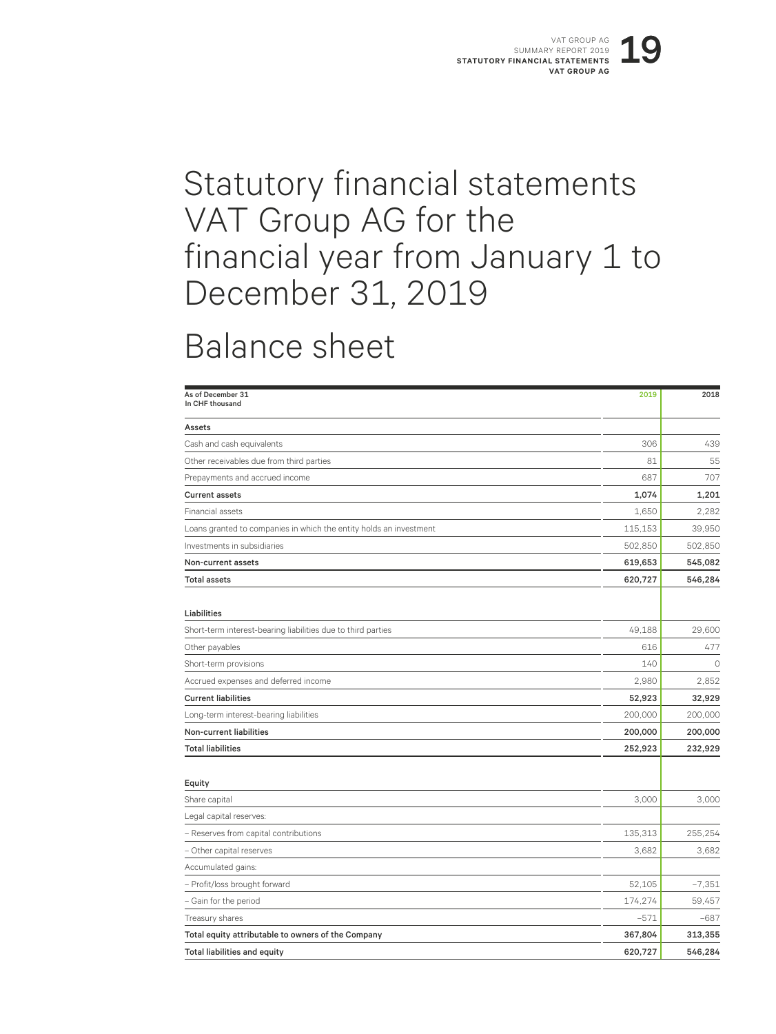## Statutory financial statements VAT Group AG for the financial year from January 1 to December 31, 2019

## Balance sheet

| As of December 31<br>In CHF thousand                               | 2019    | 2018     |
|--------------------------------------------------------------------|---------|----------|
| Assets                                                             |         |          |
| Cash and cash equivalents                                          | 306     | 439      |
| Other receivables due from third parties                           | 81      | 55       |
| Prepayments and accrued income                                     | 687     | 707      |
| <b>Current assets</b>                                              | 1,074   | 1,201    |
| Financial assets                                                   | 1,650   | 2,282    |
| Loans granted to companies in which the entity holds an investment | 115,153 | 39,950   |
| Investments in subsidiaries                                        | 502,850 | 502,850  |
| Non-current assets                                                 | 619,653 | 545,082  |
| <b>Total assets</b>                                                | 620,727 | 546,284  |
| Liabilities                                                        |         |          |
| Short-term interest-bearing liabilities due to third parties       | 49,188  | 29,600   |
| Other payables                                                     | 616     | 477      |
| Short-term provisions                                              | 140     | $\Omega$ |
| Accrued expenses and deferred income                               | 2,980   | 2,852    |
| <b>Current liabilities</b>                                         | 52,923  | 32,929   |
| Long-term interest-bearing liabilities                             | 200,000 | 200,000  |
| Non-current liabilities                                            | 200,000 | 200,000  |
| <b>Total liabilities</b>                                           | 252,923 | 232,929  |
| Equity                                                             |         |          |
| Share capital                                                      | 3,000   | 3,000    |
| Legal capital reserves:                                            |         |          |
| - Reserves from capital contributions                              | 135,313 | 255,254  |
| - Other capital reserves                                           | 3,682   | 3,682    |
| Accumulated gains:                                                 |         |          |
| - Profit/loss brought forward                                      | 52,105  | $-7,351$ |
| - Gain for the period                                              | 174,274 | 59,457   |
| Treasury shares                                                    | $-571$  | $-687$   |
| Total equity attributable to owners of the Company                 | 367,804 | 313,355  |
| <b>Total liabilities and equity</b>                                | 620,727 | 546,284  |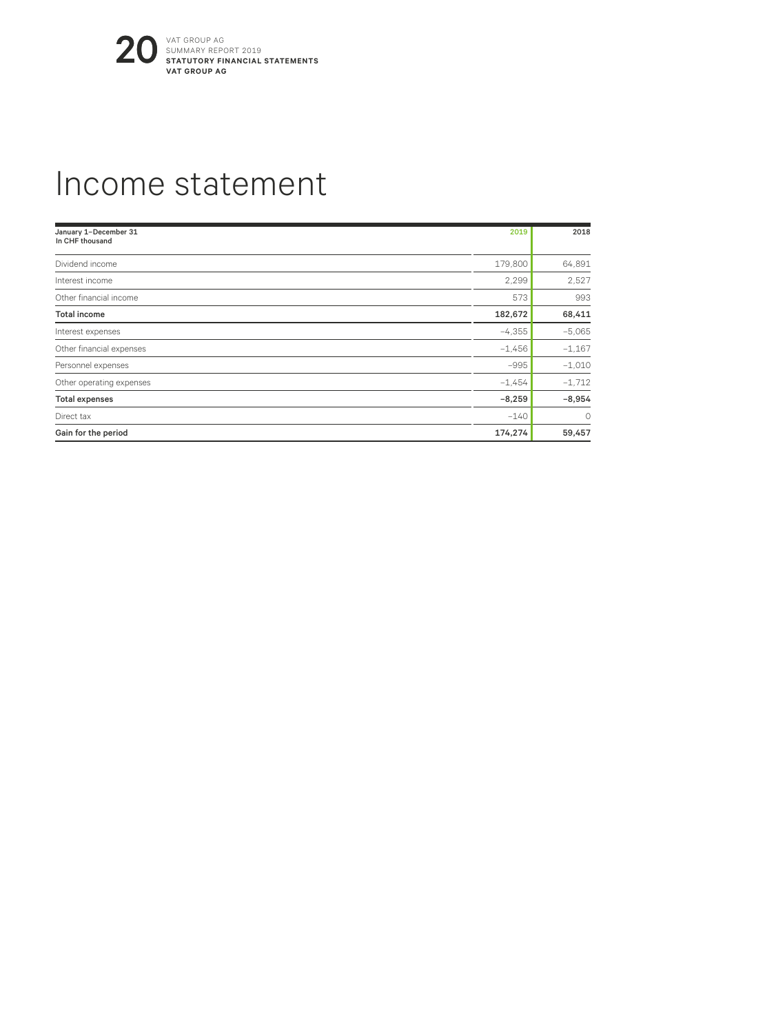![](_page_19_Picture_0.jpeg)

#### Income statement

| January 1-December 31<br>In CHF thousand | 2019     | 2018     |
|------------------------------------------|----------|----------|
| Dividend income                          | 179,800  | 64,891   |
| Interest income                          | 2,299    | 2,527    |
| Other financial income                   | 573      | 993      |
| <b>Total income</b>                      | 182,672  | 68,411   |
| Interest expenses                        | $-4,355$ | $-5,065$ |
| Other financial expenses                 | $-1,456$ | $-1,167$ |
| Personnel expenses                       | $-995$   | $-1.010$ |
| Other operating expenses                 | $-1.454$ | $-1,712$ |
| <b>Total expenses</b>                    | $-8,259$ | $-8,954$ |
| Direct tax                               | $-140$   | $\circ$  |
| Gain for the period                      | 174,274  | 59,457   |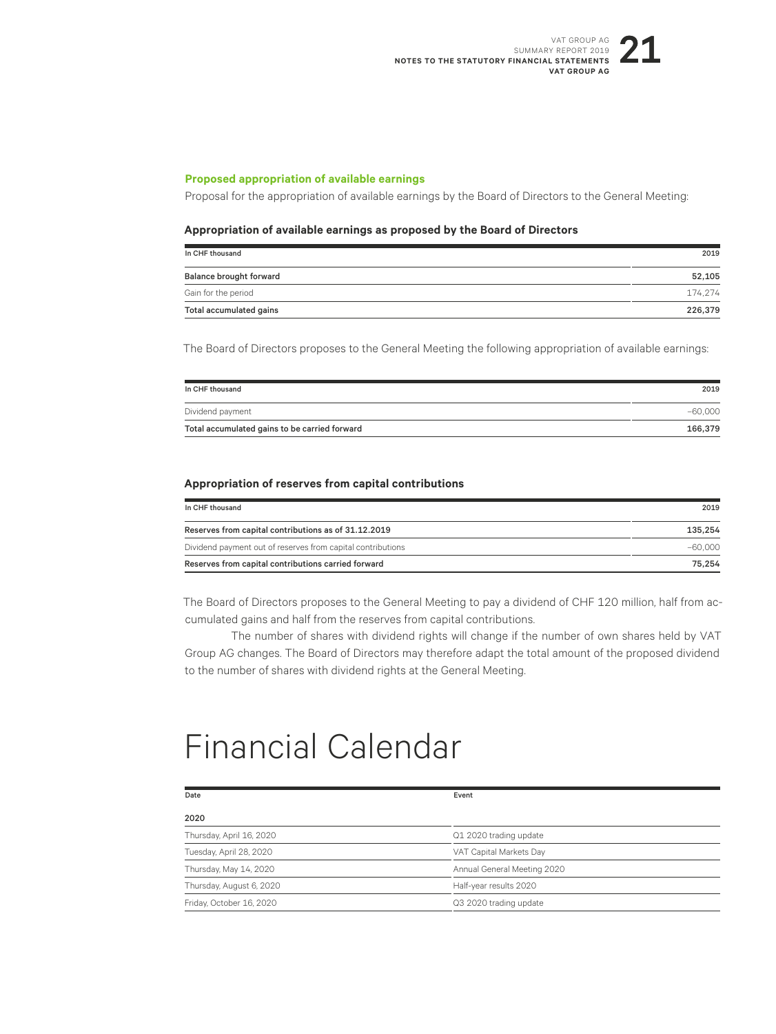#### **Proposed appropriation of available earnings**

Proposal for the appropriation of available earnings by the Board of Directors to the General Meeting:

#### **Appropriation of available earnings as proposed by the Board of Directors**

| In CHF thousand         | 2019    |
|-------------------------|---------|
| Balance brought forward | 52,105  |
| Gain for the period     | 174.274 |
| Total accumulated gains | 226,379 |

The Board of Directors proposes to the General Meeting the following appropriation of available earnings:

| In CHF thousand                               | 2019      |
|-----------------------------------------------|-----------|
| Dividend payment                              | $-60.000$ |
| Total accumulated gains to be carried forward | 166,379   |

#### **Appropriation of reserves from capital contributions**

| In CHF thousand                                             | 2019      |
|-------------------------------------------------------------|-----------|
| Reserves from capital contributions as of 31.12.2019        | 135.254   |
| Dividend payment out of reserves from capital contributions | $-60.000$ |
| Reserves from capital contributions carried forward         | 75.254    |

The Board of Directors proposes to the General Meeting to pay a dividend of CHF 120 million, half from accumulated gains and half from the reserves from capital contributions.

The number of shares with dividend rights will change if the number of own shares held by VAT Group AG changes. The Board of Directors may therefore adapt the total amount of the proposed dividend to the number of shares with dividend rights at the General Meeting.

## Financial Calendar

| Date                     | Event                       |  |
|--------------------------|-----------------------------|--|
| 2020                     |                             |  |
| Thursday, April 16, 2020 | Q1 2020 trading update      |  |
| Tuesday, April 28, 2020  | VAT Capital Markets Day     |  |
| Thursday, May 14, 2020   | Annual General Meeting 2020 |  |
| Thursday, August 6, 2020 | Half-year results 2020      |  |
| Friday, October 16, 2020 | Q3 2020 trading update      |  |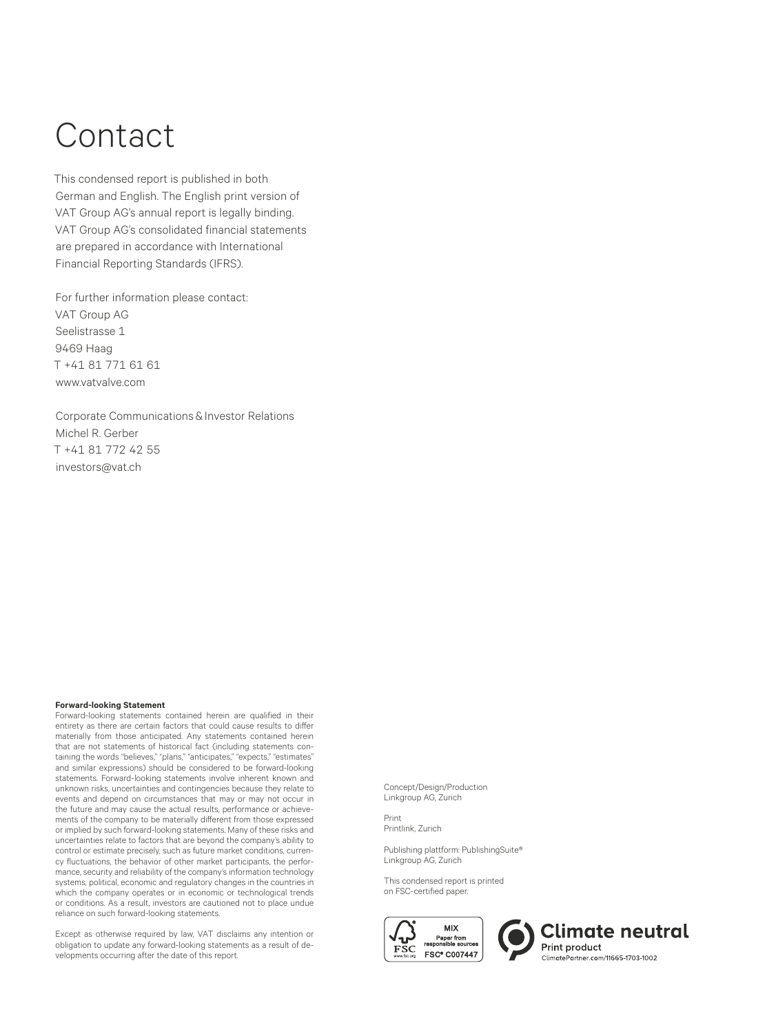# Contact

This condensed report is published in both German and English. The English print version of VAT Group AG's annual report is legally binding. VAT Group AG's consolidated financial statements are prepared in accordance with International Financial Reporting Standards (IFRS).

For further information please contact: VAT Group AG Seelistrasse 1 9469 Haag T +41 81 771 61 61 www.vatvalve.com

Corporate Communications & Investor Relations Michel R. Gerber T +41 81 772 42 55 investors@vat.ch

#### **Forward-looking Statement**

Forward-looking statements contained herein are qualified in their entirety as there are certain factors that could cause results to differ materially from those anticipated. Any statements contained herein that are not statements of historical fact (including statements containing the words "believes," "plans," "anticipates," "expects," "estimates" and similar expressions) should be considered to be forward-looking statements. Forward-looking statements involve inherent known and unknown risks, uncertainties and contingencies because they relate to events and depend on circumstances that may or may not occur in the future and may cause the actual results, performance or achievements of the company to be materially different from those expressed or implied by such forward-looking statements. Many of these risks and uncertainties relate to factors that are beyond the company's ability to control or estimate precisely, such as future market conditions, currency fluctuations, the behavior of other market participants, the performance, security and reliability of the company's information technology systems, political, economic and regulatory changes in the countries in which the company operates or in economic or technological trends or conditions. As a result, investors are cautioned not to place undue reliance on such forward-looking statements.

Except as otherwise required by law, VAT disclaims any intention or obligation to update any forward-looking statements as a result of developments occurring after the date of this report.

Concept/Design/Production Linkgroup AG, Zurich

Print Printlink, Zurich

Publishing plattform: PublishingSuite® Linkgroup AG, Zurich

This condensed report is printed on FSC-certified paper.

![](_page_21_Picture_11.jpeg)

**Climate neutral** Print product ClimatePartner.com/11665-1703-1002